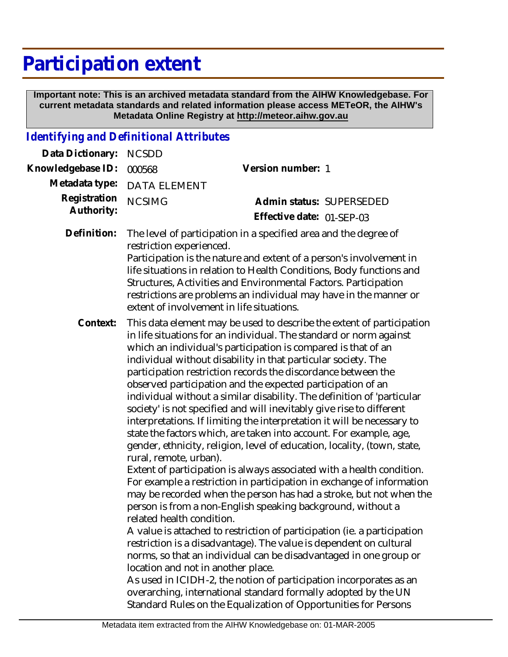# **Participation extent**

 **Important note: This is an archived metadata standard from the AIHW Knowledgebase. For current metadata standards and related information please access METeOR, the AIHW's Metadata Online Registry at http://meteor.aihw.gov.au**

### *Identifying and Definitional Attributes*

| Data Dictionary:           | <b>NCSDD</b>                                                                                                                                                                                                                                                                                                                                                                                                                                                                                                                                                                                                                                                                                                                                                                                                                                                                                                                                                                                                                                                                                                                                                                                                                                                                                                                                                                                                                                                                                                                                                                                                      |                           |  |
|----------------------------|-------------------------------------------------------------------------------------------------------------------------------------------------------------------------------------------------------------------------------------------------------------------------------------------------------------------------------------------------------------------------------------------------------------------------------------------------------------------------------------------------------------------------------------------------------------------------------------------------------------------------------------------------------------------------------------------------------------------------------------------------------------------------------------------------------------------------------------------------------------------------------------------------------------------------------------------------------------------------------------------------------------------------------------------------------------------------------------------------------------------------------------------------------------------------------------------------------------------------------------------------------------------------------------------------------------------------------------------------------------------------------------------------------------------------------------------------------------------------------------------------------------------------------------------------------------------------------------------------------------------|---------------------------|--|
| Knowledgebase ID:          | 000568                                                                                                                                                                                                                                                                                                                                                                                                                                                                                                                                                                                                                                                                                                                                                                                                                                                                                                                                                                                                                                                                                                                                                                                                                                                                                                                                                                                                                                                                                                                                                                                                            | Version number: 1         |  |
| Metadata type:             | <b>DATA ELEMENT</b>                                                                                                                                                                                                                                                                                                                                                                                                                                                                                                                                                                                                                                                                                                                                                                                                                                                                                                                                                                                                                                                                                                                                                                                                                                                                                                                                                                                                                                                                                                                                                                                               |                           |  |
| Registration<br>Authority: | <b>NCSIMG</b>                                                                                                                                                                                                                                                                                                                                                                                                                                                                                                                                                                                                                                                                                                                                                                                                                                                                                                                                                                                                                                                                                                                                                                                                                                                                                                                                                                                                                                                                                                                                                                                                     | Admin status: SUPERSEDED  |  |
|                            |                                                                                                                                                                                                                                                                                                                                                                                                                                                                                                                                                                                                                                                                                                                                                                                                                                                                                                                                                                                                                                                                                                                                                                                                                                                                                                                                                                                                                                                                                                                                                                                                                   | Effective date: 01-SEP-03 |  |
| Definition:                | The level of participation in a specified area and the degree of<br>restriction experienced.<br>Participation is the nature and extent of a person's involvement in<br>life situations in relation to Health Conditions, Body functions and<br>Structures, Activities and Environmental Factors. Participation<br>restrictions are problems an individual may have in the manner or<br>extent of involvement in life situations.                                                                                                                                                                                                                                                                                                                                                                                                                                                                                                                                                                                                                                                                                                                                                                                                                                                                                                                                                                                                                                                                                                                                                                                  |                           |  |
| Context:                   | This data element may be used to describe the extent of participation<br>in life situations for an individual. The standard or norm against<br>which an individual's participation is compared is that of an<br>individual without disability in that particular society. The<br>participation restriction records the discordance between the<br>observed participation and the expected participation of an<br>individual without a similar disability. The definition of 'particular<br>society' is not specified and will inevitably give rise to different<br>interpretations. If limiting the interpretation it will be necessary to<br>state the factors which, are taken into account. For example, age,<br>gender, ethnicity, religion, level of education, locality, (town, state,<br>rural, remote, urban).<br>Extent of participation is always associated with a health condition.<br>For example a restriction in participation in exchange of information<br>may be recorded when the person has had a stroke, but not when the<br>person is from a non-English speaking background, without a<br>related health condition<br>A value is attached to restriction of participation (ie. a participation<br>restriction is a disadvantage). The value is dependent on cultural<br>norms, so that an individual can be disadvantaged in one group or<br>location and not in another place.<br>As used in ICIDH-2, the notion of participation incorporates as an<br>overarching, international standard formally adopted by the UN<br>Standard Rules on the Equalization of Opportunities for Persons |                           |  |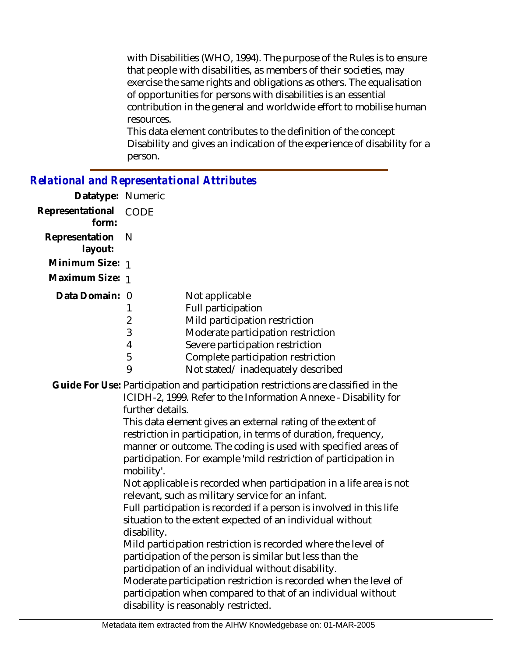with Disabilities (WHO, 1994). The purpose of the Rules is to ensure that people with disabilities, as members of their societies, may exercise the same rights and obligations as others. The equalisation of opportunities for persons with disabilities is an essential contribution in the general and worldwide effort to mobilise human resources.

This data element contributes to the definition of the concept Disability and gives an indication of the experience of disability for a person.

#### *Relational and Representational Attributes*

| Datatype: Numeric           |      |                                    |
|-----------------------------|------|------------------------------------|
| Representational<br>form:   | CODE |                                    |
| Representation N<br>layout: |      |                                    |
| Minimum Size: 1             |      |                                    |
| Maximum Size: 1             |      |                                    |
| Data Domain: 0              |      | Not applicable                     |
|                             |      | <b>Full participation</b>          |
|                             | 2    | Mild participation restriction     |
|                             | 3    | Moderate participation restriction |
|                             | 4    | Severe participation restriction   |
|                             | 5    | Complete participation restriction |
|                             | 9    | Not stated/inadequately described  |

## Guide For Use: Participation and participation restrictions are classified in the

ICIDH-2, 1999. Refer to the Information Annexe - Disability for further details.

This data element gives an external rating of the extent of restriction in participation, in terms of duration, frequency, manner or outcome. The coding is used with specified areas of participation. For example 'mild restriction of participation in mobility'.

Not applicable is recorded when participation in a life area is not relevant, such as military service for an infant.

Full participation is recorded if a person is involved in this life situation to the extent expected of an individual without disability.

Mild participation restriction is recorded where the level of participation of the person is similar but less than the participation of an individual without disability.

Moderate participation restriction is recorded when the level of participation when compared to that of an individual without disability is reasonably restricted.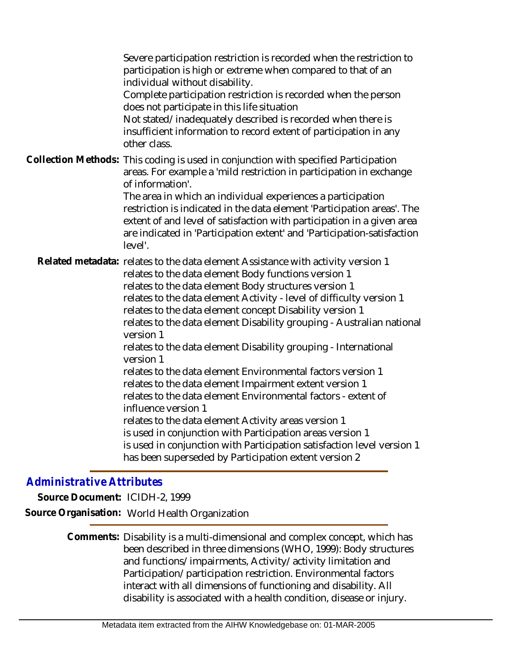Severe participation restriction is recorded when the restriction to participation is high or extreme when compared to that of an individual without disability.

Complete participation restriction is recorded when the person does not participate in this life situation

Not stated/inadequately described is recorded when there is insufficient information to record extent of participation in any other class.

Collection Methods: This coding is used in conjunction with specified Participation areas. For example a 'mild restriction in participation in exchange of information'.

The area in which an individual experiences a participation restriction is indicated in the data element 'Participation areas'. The extent of and level of satisfaction with participation in a given area are indicated in 'Participation extent' and 'Participation-satisfaction level'.

Related metadata: relates to the data element Assistance with activity version 1 relates to the data element Body functions version 1 relates to the data element Body structures version 1 relates to the data element Activity - level of difficulty version 1 relates to the data element concept Disability version 1 relates to the data element Disability grouping - Australian national version 1 relates to the data element Disability grouping - International version 1 relates to the data element Environmental factors version 1 relates to the data element Impairment extent version 1 relates to the data element Environmental factors - extent of influence version 1 relates to the data element Activity areas version 1 is used in conjunction with Participation areas version 1 is used in conjunction with Participation satisfaction level version 1 has been superseded by Participation extent version 2

### *Administrative Attributes*

**Source Document:** ICIDH-2, 1999 **Source Organisation:** World Health Organization

> Comments: Disability is a multi-dimensional and complex concept, which has been described in three dimensions (WHO, 1999): Body structures and functions/impairments, Activity/activity limitation and Participation/participation restriction. Environmental factors interact with all dimensions of functioning and disability. All disability is associated with a health condition, disease or injury.